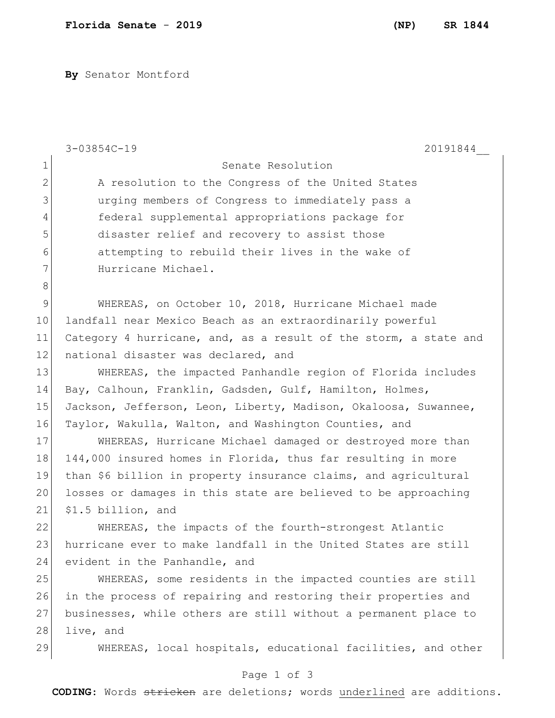**By** Senator Montford

|               | $3 - 03854C - 19$<br>20191844                                    |
|---------------|------------------------------------------------------------------|
| 1             | Senate Resolution                                                |
| $\mathbf 2$   | A resolution to the Congress of the United States                |
| 3             | urging members of Congress to immediately pass a                 |
| 4             | federal supplemental appropriations package for                  |
| 5             | disaster relief and recovery to assist those                     |
| $6\,$         | attempting to rebuild their lives in the wake of                 |
| 7             | Hurricane Michael.                                               |
| $\,8\,$       |                                                                  |
| $\mathcal{G}$ | WHEREAS, on October 10, 2018, Hurricane Michael made             |
| 10            | landfall near Mexico Beach as an extraordinarily powerful        |
| 11            | Category 4 hurricane, and, as a result of the storm, a state and |
| 12            | national disaster was declared, and                              |
| 13            | WHEREAS, the impacted Panhandle region of Florida includes       |
| 14            | Bay, Calhoun, Franklin, Gadsden, Gulf, Hamilton, Holmes,         |
| 15            | Jackson, Jefferson, Leon, Liberty, Madison, Okaloosa, Suwannee,  |
| 16            | Taylor, Wakulla, Walton, and Washington Counties, and            |
| 17            | WHEREAS, Hurricane Michael damaged or destroyed more than        |
| 18            | 144,000 insured homes in Florida, thus far resulting in more     |
| 19            | than \$6 billion in property insurance claims, and agricultural  |
| 20            | losses or damages in this state are believed to be approaching   |
| 21            | \$1.5 billion, and                                               |
| 22            | WHEREAS, the impacts of the fourth-strongest Atlantic            |
| 23            | hurricane ever to make landfall in the United States are still   |
| 24            | evident in the Panhandle, and                                    |
| 25            | WHEREAS, some residents in the impacted counties are still       |
| 26            | in the process of repairing and restoring their properties and   |
| 27            | businesses, while others are still without a permanent place to  |
| 28            | live, and                                                        |
| 29            | WHEREAS, local hospitals, educational facilities, and other      |
|               | Page 1 of 3                                                      |

**CODING**: Words stricken are deletions; words underlined are additions.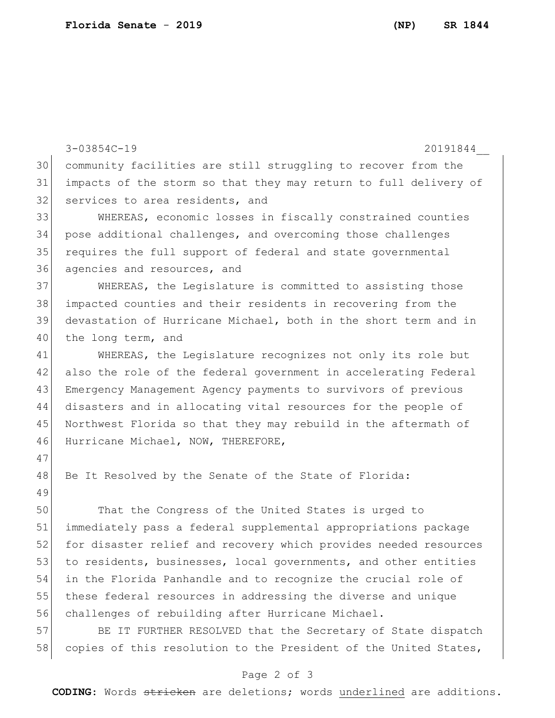3-03854C-19 20191844\_\_ community facilities are still struggling to recover from the impacts of the storm so that they may return to full delivery of 32 services to area residents, and WHEREAS, economic losses in fiscally constrained counties pose additional challenges, and overcoming those challenges requires the full support of federal and state governmental agencies and resources, and WHEREAS, the Legislature is committed to assisting those impacted counties and their residents in recovering from the devastation of Hurricane Michael, both in the short term and in 40 the long term, and WHEREAS, the Legislature recognizes not only its role but also the role of the federal government in accelerating Federal Emergency Management Agency payments to survivors of previous disasters and in allocating vital resources for the people of Northwest Florida so that they may rebuild in the aftermath of 46 Hurricane Michael, NOW, THEREFORE, 48 Be It Resolved by the Senate of the State of Florida: That the Congress of the United States is urged to immediately pass a federal supplemental appropriations package 52 for disaster relief and recovery which provides needed resources 53 to residents, businesses, local governments, and other entities in the Florida Panhandle and to recognize the crucial role of these federal resources in addressing the diverse and unique challenges of rebuilding after Hurricane Michael. 57 BE IT FURTHER RESOLVED that the Secretary of State dispatch

## Page 2 of 3

58 copies of this resolution to the President of the United States,

**CODING**: Words stricken are deletions; words underlined are additions.